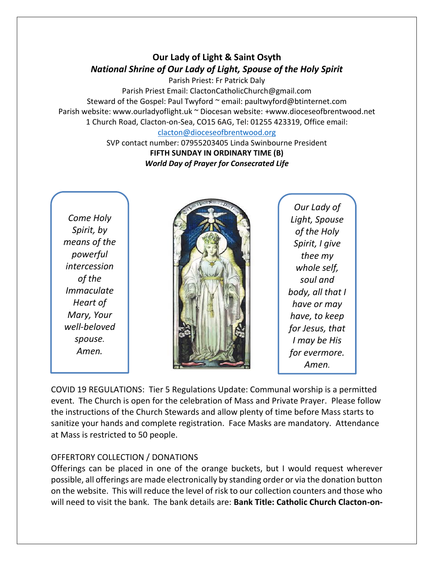## **Our Lady of Light & Saint Osyth** *National Shrine of Our Lady of Light, Spouse of the Holy Spirit*

Parish Priest: Fr Patrick Daly Parish Priest Email: ClactonCatholicChurch@gmail.com Steward of the Gospel: Paul Twyford ~ email: paultwyford@btinternet.com Parish website: www.ourladyoflight.uk ~ Diocesan website: +www.dioceseofbrentwood.net 1 Church Road, Clacton-on-Sea, CO15 6AG, Tel: 01255 423319, Office email: [clacton@dioceseofbrentwood.org](mailto:clacton@dioceseofbrentwood.org)

SVP contact number: 07955203405 Linda Swinbourne President **FIFTH SUNDAY IN ORDINARY TIME (B)** *World Day of Prayer for Consecrated Life*

*Come Holy Spirit, by means of the powerful intercession of the Immaculate Heart of Mary, Your well-beloved spouse. Amen.*



*Our Lady of Light, Spouse of the Holy Spirit, I give thee my whole self, soul and body, all that I have or may have, to keep for Jesus, that I may be His for evermore. Amen.*

COVID 19 REGULATIONS: Tier 5 Regulations Update: Communal worship is a permitted event. The Church is open for the celebration of Mass and Private Prayer. Please follow the instructions of the Church Stewards and allow plenty of time before Mass starts to sanitize your hands and complete registration. Face Masks are mandatory. Attendance at Mass is restricted to 50 people.

## OFFERTORY COLLECTION / DONATIONS

Offerings can be placed in one of the orange buckets, but I would request wherever possible, all offerings are made electronically by standing order or via the donation button on the website. This will reduce the level of risk to our collection counters and those who will need to visit the bank. The bank details are: **Bank Title: Catholic Church Clacton-on-**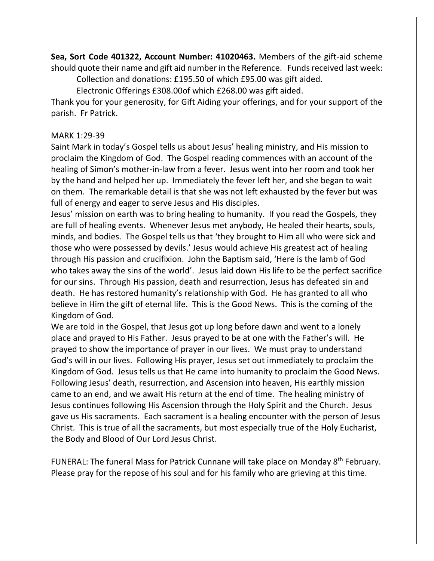**Sea, Sort Code 401322, Account Number: 41020463.** Members of the gift-aid scheme should quote their name and gift aid number in the Reference. Funds received last week:

Collection and donations: £195.50 of which £95.00 was gift aided.

Electronic Offerings £308.00of which £268.00 was gift aided.

Thank you for your generosity, for Gift Aiding your offerings, and for your support of the parish. Fr Patrick.

## MARK 1:29-39

Saint Mark in today's Gospel tells us about Jesus' healing ministry, and His mission to proclaim the Kingdom of God. The Gospel reading commences with an account of the healing of Simon's mother-in-law from a fever. Jesus went into her room and took her by the hand and helped her up. Immediately the fever left her, and she began to wait on them. The remarkable detail is that she was not left exhausted by the fever but was full of energy and eager to serve Jesus and His disciples.

Jesus' mission on earth was to bring healing to humanity. If you read the Gospels, they are full of healing events. Whenever Jesus met anybody, He healed their hearts, souls, minds, and bodies. The Gospel tells us that 'they brought to Him all who were sick and those who were possessed by devils.' Jesus would achieve His greatest act of healing through His passion and crucifixion. John the Baptism said, 'Here is the lamb of God who takes away the sins of the world'. Jesus laid down His life to be the perfect sacrifice for our sins. Through His passion, death and resurrection, Jesus has defeated sin and death. He has restored humanity's relationship with God. He has granted to all who believe in Him the gift of eternal life. This is the Good News. This is the coming of the Kingdom of God.

We are told in the Gospel, that Jesus got up long before dawn and went to a lonely place and prayed to His Father. Jesus prayed to be at one with the Father's will. He prayed to show the importance of prayer in our lives. We must pray to understand God's will in our lives. Following His prayer, Jesus set out immediately to proclaim the Kingdom of God. Jesus tells us that He came into humanity to proclaim the Good News. Following Jesus' death, resurrection, and Ascension into heaven, His earthly mission came to an end, and we await His return at the end of time. The healing ministry of Jesus continues following His Ascension through the Holy Spirit and the Church. Jesus gave us His sacraments. Each sacrament is a healing encounter with the person of Jesus Christ. This is true of all the sacraments, but most especially true of the Holy Eucharist, the Body and Blood of Our Lord Jesus Christ.

FUNERAL: The funeral Mass for Patrick Cunnane will take place on Monday 8<sup>th</sup> February. Please pray for the repose of his soul and for his family who are grieving at this time.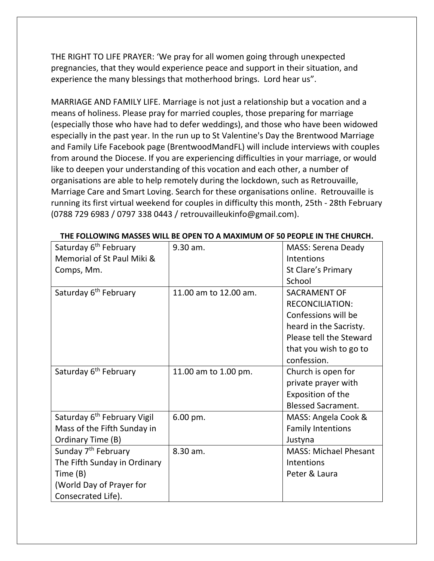THE RIGHT TO LIFE PRAYER: 'We pray for all women going through unexpected pregnancies, that they would experience peace and support in their situation, and experience the many blessings that motherhood brings. Lord hear us".

MARRIAGE AND FAMILY LIFE. Marriage is not just a relationship but a vocation and a means of holiness. Please pray for married couples, those preparing for marriage (especially those who have had to defer weddings), and those who have been widowed especially in the past year. In the run up to St Valentine's Day the Brentwood Marriage and Family Life Facebook page (BrentwoodMandFL) will include interviews with couples from around the Diocese. If you are experiencing difficulties in your marriage, or would like to deepen your understanding of this vocation and each other, a number of organisations are able to help remotely during the lockdown, such as Retrouvaille, Marriage Care and Smart Loving. Search for these organisations online. Retrouvaille is running its first virtual weekend for couples in difficulty this month, 25th - 28th February (0788 729 6983 / 0797 338 0443 / retrouvailleukinfo@gmail.com).

| Saturday 6 <sup>th</sup> February       | 9.30 am.              | <b>MASS: Serena Deady</b>    |
|-----------------------------------------|-----------------------|------------------------------|
| Memorial of St Paul Miki &              |                       | Intentions                   |
| Comps, Mm.                              |                       | St Clare's Primary           |
|                                         |                       | School                       |
| Saturday 6 <sup>th</sup> February       | 11.00 am to 12.00 am. | <b>SACRAMENT OF</b>          |
|                                         |                       | <b>RECONCILIATION:</b>       |
|                                         |                       | Confessions will be          |
|                                         |                       | heard in the Sacristy.       |
|                                         |                       | Please tell the Steward      |
|                                         |                       | that you wish to go to       |
|                                         |                       | confession.                  |
| Saturday 6 <sup>th</sup> February       | 11.00 am to 1.00 pm.  | Church is open for           |
|                                         |                       | private prayer with          |
|                                         |                       | Exposition of the            |
|                                         |                       | <b>Blessed Sacrament.</b>    |
| Saturday 6 <sup>th</sup> February Vigil | $6.00$ pm.            | MASS: Angela Cook &          |
| Mass of the Fifth Sunday in             |                       | <b>Family Intentions</b>     |
| Ordinary Time (B)                       |                       | Justyna                      |
| Sunday 7 <sup>th</sup> February         | 8.30 am.              | <b>MASS: Michael Phesant</b> |
| The Fifth Sunday in Ordinary            |                       | Intentions                   |
| Time (B)                                |                       | Peter & Laura                |
| (World Day of Prayer for                |                       |                              |
| Consecrated Life).                      |                       |                              |